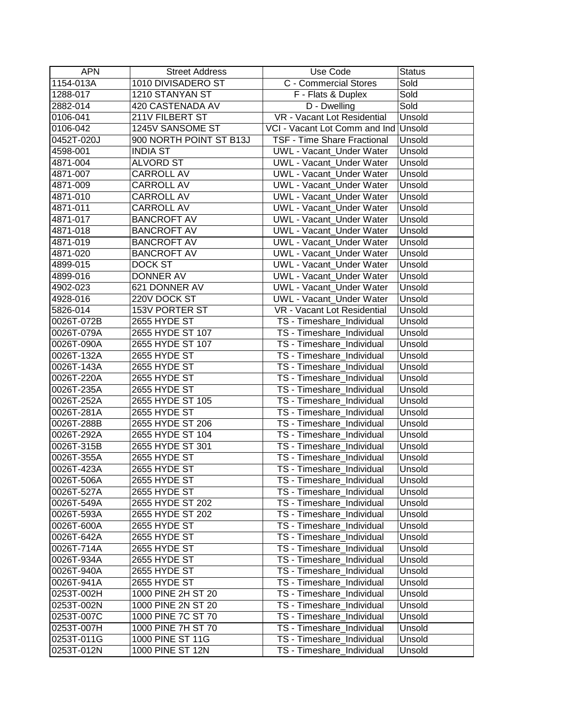| <b>APN</b> | <b>Street Address</b>   | Use Code                             | <b>Status</b> |
|------------|-------------------------|--------------------------------------|---------------|
| 1154-013A  | 1010 DIVISADERO ST      | C - Commercial Stores                | Sold          |
| 1288-017   | 1210 STANYAN ST         | F - Flats & Duplex                   | Sold          |
| 2882-014   | 420 CASTENADA AV        | D - Dwelling                         | Sold          |
| 0106-041   | 211V FILBERT ST         | VR - Vacant Lot Residential          | Unsold        |
| 0106-042   | 1245V SANSOME ST        | VCI - Vacant Lot Comm and Ind Unsold |               |
| 0452T-020J | 900 NORTH POINT ST B13J | <b>TSF - Time Share Fractional</b>   | Unsold        |
| 4598-001   | <b>INDIA ST</b>         | UWL - Vacant_Under Water             | Unsold        |
| 4871-004   | <b>ALVORD ST</b>        | <b>UWL - Vacant Under Water</b>      | Unsold        |
| 4871-007   | <b>CARROLL AV</b>       | <b>UWL - Vacant Under Water</b>      | Unsold        |
| 4871-009   | CARROLL AV              | <b>UWL - Vacant_Under Water</b>      | Unsold        |
| 4871-010   | CARROLL AV              | UWL - Vacant_Under Water             | Unsold        |
| 4871-011   | CARROLL AV              | UWL - Vacant_Under Water             | Unsold        |
| 4871-017   | <b>BANCROFT AV</b>      | UWL - Vacant_Under Water             | Unsold        |
| 4871-018   | <b>BANCROFT AV</b>      | <b>UWL - Vacant_Under Water</b>      | Unsold        |
| 4871-019   | <b>BANCROFT AV</b>      | <b>UWL - Vacant_Under Water</b>      | Unsold        |
| 4871-020   | <b>BANCROFT AV</b>      | <b>UWL - Vacant Under Water</b>      | Unsold        |
| 4899-015   | DOCK ST                 | <b>UWL - Vacant Under Water</b>      | Unsold        |
| 4899-016   | <b>DONNER AV</b>        | UWL - Vacant_Under Water             | Unsold        |
| 4902-023   | 621 DONNER AV           | UWL - Vacant_Under Water             | Unsold        |
| 4928-016   | 220V DOCK ST            | UWL - Vacant_Under Water             | Unsold        |
| 5826-014   | <b>153V PORTER ST</b>   | VR - Vacant Lot Residential          | Unsold        |
| 0026T-072B | 2655 HYDE ST            | TS - Timeshare Individual            | Unsold        |
| 0026T-079A | 2655 HYDE ST 107        | TS - Timeshare_Individual            | Unsold        |
| 0026T-090A | 2655 HYDE ST 107        | TS - Timeshare_Individual            | Unsold        |
| 0026T-132A | 2655 HYDE ST            | TS - Timeshare_Individual            | Unsold        |
| 0026T-143A | 2655 HYDE ST            | TS - Timeshare_Individual            | Unsold        |
| 0026T-220A | 2655 HYDE ST            | TS - Timeshare_Individual            | Unsold        |
| 0026T-235A | 2655 HYDE ST            | TS - Timeshare_Individual            | Unsold        |
| 0026T-252A | 2655 HYDE ST 105        | TS - Timeshare_Individual            | Unsold        |
| 0026T-281A | 2655 HYDE ST            | TS - Timeshare_Individual            | Unsold        |
| 0026T-288B | 2655 HYDE ST 206        | TS - Timeshare_Individual            | Unsold        |
| 0026T-292A | 2655 HYDE ST 104        | TS - Timeshare_Individual            | Unsold        |
| 0026T-315B | 2655 HYDE ST 301        | TS - Timeshare_Individual            | Unsold        |
| 0026T-355A | 2655 HYDE ST            | TS - Timeshare_Individual            | Unsold        |
| 0026T-423A | 2655 HYDE ST            | TS - Timeshare_Individual            | Unsold        |
| 0026T-506A | 2655 HYDE ST            | TS - Timeshare_Individual            | Unsold        |
| 0026T-527A | 2655 HYDE ST            | TS - Timeshare_Individual            | Unsold        |
| 0026T-549A | 2655 HYDE ST 202        | TS - Timeshare Individual            | Unsold        |
| 0026T-593A | 2655 HYDE ST 202        | TS - Timeshare_Individual            | Unsold        |
| 0026T-600A | 2655 HYDE ST            | TS - Timeshare Individual            | Unsold        |
| 0026T-642A | 2655 HYDE ST            | TS - Timeshare Individual            | Unsold        |
| 0026T-714A | 2655 HYDE ST            | TS - Timeshare Individual            | Unsold        |
| 0026T-934A | 2655 HYDE ST            | TS - Timeshare_Individual            | Unsold        |
| 0026T-940A | 2655 HYDE ST            | TS - Timeshare_Individual            | Unsold        |
| 0026T-941A | 2655 HYDE ST            | TS - Timeshare_Individual            | Unsold        |
| 0253T-002H | 1000 PINE 2H ST 20      | TS - Timeshare_Individual            | Unsold        |
| 0253T-002N | 1000 PINE 2N ST 20      | TS - Timeshare_Individual            | Unsold        |
| 0253T-007C | 1000 PINE 7C ST 70      | TS - Timeshare Individual            | Unsold        |
| 0253T-007H | 1000 PINE 7H ST 70      | TS - Timeshare_Individual            | Unsold        |
| 0253T-011G | 1000 PINE ST 11G        | TS - Timeshare_Individual            | Unsold        |
| 0253T-012N | 1000 PINE ST 12N        | TS - Timeshare_Individual            | Unsold        |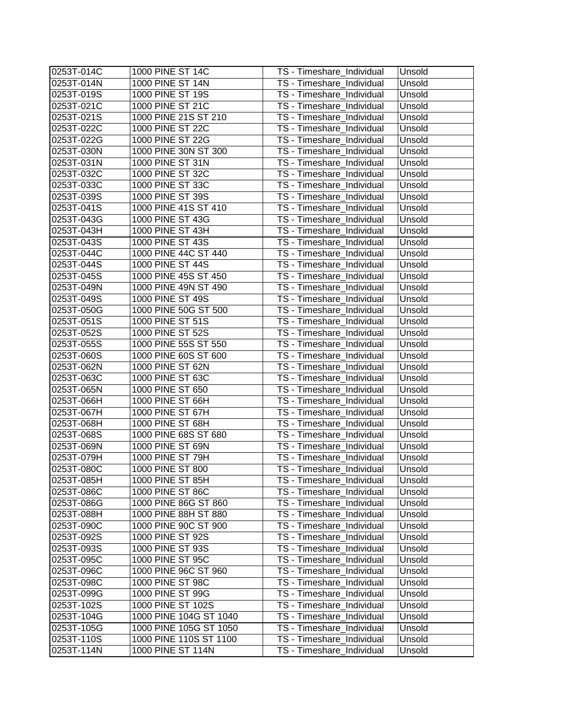| 0253T-014N<br>1000 PINE ST 14N<br>TS - Timeshare_Individual<br>Unsold<br>1000 PINE ST 19S<br>0253T-019S<br>TS - Timeshare_Individual<br>Unsold<br>1000 PINE ST 21C<br>0253T-021C<br>TS - Timeshare_Individual<br>Unsold<br>1000 PINE 21S ST 210<br>0253T-021S<br>TS - Timeshare_Individual<br>Unsold<br>1000 PINE ST 22C<br>0253T-022C<br>TS - Timeshare_Individual<br>Unsold<br>1000 PINE ST 22G<br>0253T-022G<br>TS - Timeshare_Individual<br>Unsold<br>1000 PINE 30N ST 300<br>TS - Timeshare_Individual<br>Unsold<br>0253T-030N<br>1000 PINE ST 31N<br>0253T-031N<br>TS - Timeshare_Individual<br>Unsold<br>1000 PINE ST 32C<br>0253T-032C<br>TS - Timeshare_Individual<br>Unsold |  |
|---------------------------------------------------------------------------------------------------------------------------------------------------------------------------------------------------------------------------------------------------------------------------------------------------------------------------------------------------------------------------------------------------------------------------------------------------------------------------------------------------------------------------------------------------------------------------------------------------------------------------------------------------------------------------------------|--|
|                                                                                                                                                                                                                                                                                                                                                                                                                                                                                                                                                                                                                                                                                       |  |
|                                                                                                                                                                                                                                                                                                                                                                                                                                                                                                                                                                                                                                                                                       |  |
|                                                                                                                                                                                                                                                                                                                                                                                                                                                                                                                                                                                                                                                                                       |  |
|                                                                                                                                                                                                                                                                                                                                                                                                                                                                                                                                                                                                                                                                                       |  |
|                                                                                                                                                                                                                                                                                                                                                                                                                                                                                                                                                                                                                                                                                       |  |
|                                                                                                                                                                                                                                                                                                                                                                                                                                                                                                                                                                                                                                                                                       |  |
|                                                                                                                                                                                                                                                                                                                                                                                                                                                                                                                                                                                                                                                                                       |  |
|                                                                                                                                                                                                                                                                                                                                                                                                                                                                                                                                                                                                                                                                                       |  |
|                                                                                                                                                                                                                                                                                                                                                                                                                                                                                                                                                                                                                                                                                       |  |
| 1000 PINE ST 33C<br>0253T-033C<br>TS - Timeshare_Individual<br>Unsold                                                                                                                                                                                                                                                                                                                                                                                                                                                                                                                                                                                                                 |  |
| 1000 PINE ST 39S<br>0253T-039S<br>TS - Timeshare_Individual<br>Unsold                                                                                                                                                                                                                                                                                                                                                                                                                                                                                                                                                                                                                 |  |
| 1000 PINE 41S ST 410<br>0253T-041S<br>TS - Timeshare_Individual<br>Unsold                                                                                                                                                                                                                                                                                                                                                                                                                                                                                                                                                                                                             |  |
| 1000 PINE ST 43G<br>0253T-043G<br>TS - Timeshare_Individual<br>Unsold                                                                                                                                                                                                                                                                                                                                                                                                                                                                                                                                                                                                                 |  |
| 0253T-043H<br>1000 PINE ST 43H<br>Unsold<br>TS - Timeshare_Individual                                                                                                                                                                                                                                                                                                                                                                                                                                                                                                                                                                                                                 |  |
| 0253T-043S<br>1000 PINE ST 43S<br>Unsold<br>TS - Timeshare_Individual                                                                                                                                                                                                                                                                                                                                                                                                                                                                                                                                                                                                                 |  |
| 1000 PINE 44C ST 440<br>0253T-044C<br>TS - Timeshare_Individual<br>Unsold                                                                                                                                                                                                                                                                                                                                                                                                                                                                                                                                                                                                             |  |
| 1000 PINE ST 44S<br>0253T-044S<br>TS - Timeshare_Individual<br>Unsold                                                                                                                                                                                                                                                                                                                                                                                                                                                                                                                                                                                                                 |  |
| 0253T-045S<br>1000 PINE 45S ST 450<br>TS - Timeshare_Individual<br>Unsold                                                                                                                                                                                                                                                                                                                                                                                                                                                                                                                                                                                                             |  |
| 0253T-049N<br>1000 PINE 49N ST 490<br>TS - Timeshare_Individual<br>Unsold                                                                                                                                                                                                                                                                                                                                                                                                                                                                                                                                                                                                             |  |
| 0253T-049S<br>1000 PINE ST 49S<br>TS - Timeshare_Individual<br>Unsold                                                                                                                                                                                                                                                                                                                                                                                                                                                                                                                                                                                                                 |  |
| 0253T-050G<br>1000 PINE 50G ST 500<br>TS - Timeshare_Individual<br>Unsold                                                                                                                                                                                                                                                                                                                                                                                                                                                                                                                                                                                                             |  |
| 1000 PINE ST 51S<br>0253T-051S<br>TS - Timeshare_Individual<br>Unsold                                                                                                                                                                                                                                                                                                                                                                                                                                                                                                                                                                                                                 |  |
| 1000 PINE ST 52S<br>0253T-052S<br>TS - Timeshare_Individual<br>Unsold                                                                                                                                                                                                                                                                                                                                                                                                                                                                                                                                                                                                                 |  |
| 1000 PINE 55S ST 550<br>Unsold<br>0253T-055S<br>TS - Timeshare_Individual                                                                                                                                                                                                                                                                                                                                                                                                                                                                                                                                                                                                             |  |
| 1000 PINE 60S ST 600<br>TS - Timeshare_Individual<br>0253T-060S<br>Unsold                                                                                                                                                                                                                                                                                                                                                                                                                                                                                                                                                                                                             |  |
| 1000 PINE ST 62N<br>0253T-062N<br>TS - Timeshare_Individual<br>Unsold                                                                                                                                                                                                                                                                                                                                                                                                                                                                                                                                                                                                                 |  |
| 1000 PINE ST 63C<br>0253T-063C<br>TS - Timeshare_Individual<br>Unsold                                                                                                                                                                                                                                                                                                                                                                                                                                                                                                                                                                                                                 |  |
| 1000 PINE ST 650<br>TS - Timeshare_Individual<br>Unsold<br>0253T-065N                                                                                                                                                                                                                                                                                                                                                                                                                                                                                                                                                                                                                 |  |
| 1000 PINE ST 66H<br>TS - Timeshare_Individual<br>0253T-066H<br>Unsold                                                                                                                                                                                                                                                                                                                                                                                                                                                                                                                                                                                                                 |  |
| 1000 PINE ST 67H<br>0253T-067H<br>Unsold<br>TS - Timeshare_Individual                                                                                                                                                                                                                                                                                                                                                                                                                                                                                                                                                                                                                 |  |
| 0253T-068H<br>1000 PINE ST 68H<br>TS - Timeshare_Individual<br>Unsold                                                                                                                                                                                                                                                                                                                                                                                                                                                                                                                                                                                                                 |  |
| 0253T-068S<br>1000 PINE 68S ST 680<br>TS - Timeshare_Individual<br>Unsold                                                                                                                                                                                                                                                                                                                                                                                                                                                                                                                                                                                                             |  |
| 1000 PINE ST 69N<br>0253T-069N<br>TS - Timeshare_Individual<br>Unsold                                                                                                                                                                                                                                                                                                                                                                                                                                                                                                                                                                                                                 |  |
| 1000 PINE ST 79H<br>0253T-079H<br>TS - Timeshare_Individual<br>Unsold                                                                                                                                                                                                                                                                                                                                                                                                                                                                                                                                                                                                                 |  |
| 1000 PINE ST 800<br>0253T-080C<br>TS - Timeshare_Individual<br>Unsold                                                                                                                                                                                                                                                                                                                                                                                                                                                                                                                                                                                                                 |  |
| 0253T-085H<br>1000 PINE ST 85H<br>TS - Timeshare_Individual<br>Unsold                                                                                                                                                                                                                                                                                                                                                                                                                                                                                                                                                                                                                 |  |
| 1000 PINE ST 86C<br>0253T-086C<br>TS - Timeshare_Individual<br>Unsold                                                                                                                                                                                                                                                                                                                                                                                                                                                                                                                                                                                                                 |  |
| 1000 PINE 86G ST 860<br>0253T-086G<br>TS - Timeshare_Individual<br>Unsold                                                                                                                                                                                                                                                                                                                                                                                                                                                                                                                                                                                                             |  |
| 1000 PINE 88H ST 880<br>TS - Timeshare_Individual<br>0253T-088H<br>Unsold                                                                                                                                                                                                                                                                                                                                                                                                                                                                                                                                                                                                             |  |
| 1000 PINE 90C ST 900<br>0253T-090C<br>TS - Timeshare Individual<br>Unsold                                                                                                                                                                                                                                                                                                                                                                                                                                                                                                                                                                                                             |  |
| 1000 PINE ST 92S<br>0253T-092S<br>TS - Timeshare Individual<br>Unsold                                                                                                                                                                                                                                                                                                                                                                                                                                                                                                                                                                                                                 |  |
| 1000 PINE ST 93S<br>TS - Timeshare_Individual<br>0253T-093S<br>Unsold                                                                                                                                                                                                                                                                                                                                                                                                                                                                                                                                                                                                                 |  |
| 1000 PINE ST 95C<br>TS - Timeshare_Individual<br>0253T-095C<br>Unsold                                                                                                                                                                                                                                                                                                                                                                                                                                                                                                                                                                                                                 |  |
| 1000 PINE 96C ST 960<br>TS - Timeshare_Individual<br>0253T-096C<br>Unsold                                                                                                                                                                                                                                                                                                                                                                                                                                                                                                                                                                                                             |  |
| 1000 PINE ST 98C<br>TS - Timeshare_Individual<br>Unsold<br>0253T-098C                                                                                                                                                                                                                                                                                                                                                                                                                                                                                                                                                                                                                 |  |
| 1000 PINE ST 99G<br>0253T-099G<br>TS - Timeshare_Individual<br>Unsold                                                                                                                                                                                                                                                                                                                                                                                                                                                                                                                                                                                                                 |  |
| 1000 PINE ST 102S<br>0253T-102S<br>TS - Timeshare Individual<br>Unsold                                                                                                                                                                                                                                                                                                                                                                                                                                                                                                                                                                                                                |  |
| 1000 PINE 104G ST 1040<br>0253T-104G<br>TS - Timeshare_Individual<br>Unsold                                                                                                                                                                                                                                                                                                                                                                                                                                                                                                                                                                                                           |  |
| 1000 PINE 105G ST 1050<br>0253T-105G<br>TS - Timeshare_Individual<br>Unsold                                                                                                                                                                                                                                                                                                                                                                                                                                                                                                                                                                                                           |  |
| 0253T-110S<br>1000 PINE 110S ST 1100<br>TS - Timeshare_Individual<br>Unsold                                                                                                                                                                                                                                                                                                                                                                                                                                                                                                                                                                                                           |  |
| 1000 PINE ST 114N<br>0253T-114N<br>TS - Timeshare_Individual<br>Unsold                                                                                                                                                                                                                                                                                                                                                                                                                                                                                                                                                                                                                |  |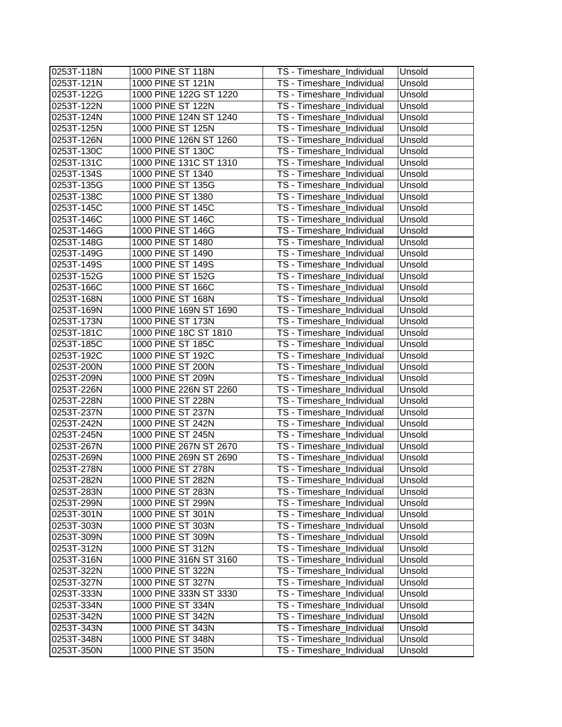| 0253T-118N | 1000 PINE ST 118N      | TS - Timeshare_Individual | Unsold |
|------------|------------------------|---------------------------|--------|
| 0253T-121N | 1000 PINE ST 121N      | TS - Timeshare_Individual | Unsold |
| 0253T-122G | 1000 PINE 122G ST 1220 | TS - Timeshare_Individual | Unsold |
| 0253T-122N | 1000 PINE ST 122N      | TS - Timeshare_Individual | Unsold |
| 0253T-124N | 1000 PINE 124N ST 1240 | TS - Timeshare_Individual | Unsold |
| 0253T-125N | 1000 PINE ST 125N      | TS - Timeshare_Individual | Unsold |
| 0253T-126N | 1000 PINE 126N ST 1260 | TS - Timeshare_Individual | Unsold |
| 0253T-130C | 1000 PINE ST 130C      | TS - Timeshare_Individual | Unsold |
| 0253T-131C | 1000 PINE 131C ST 1310 | TS - Timeshare_Individual | Unsold |
| 0253T-134S | 1000 PINE ST 1340      | TS - Timeshare_Individual | Unsold |
| 0253T-135G | 1000 PINE ST 135G      | TS - Timeshare_Individual | Unsold |
| 0253T-138C | 1000 PINE ST 1380      | TS - Timeshare_Individual | Unsold |
| 0253T-145C | 1000 PINE ST 145C      | TS - Timeshare_Individual | Unsold |
| 0253T-146C | 1000 PINE ST 146C      | TS - Timeshare_Individual | Unsold |
| 0253T-146G | 1000 PINE ST 146G      | TS - Timeshare_Individual | Unsold |
| 0253T-148G | 1000 PINE ST 1480      | TS - Timeshare_Individual | Unsold |
| 0253T-149G | 1000 PINE ST 1490      | TS - Timeshare_Individual | Unsold |
| 0253T-149S | 1000 PINE ST 149S      | TS - Timeshare_Individual | Unsold |
| 0253T-152G | 1000 PINE ST 152G      | TS - Timeshare_Individual | Unsold |
| 0253T-166C | 1000 PINE ST 166C      | TS - Timeshare_Individual | Unsold |
| 0253T-168N | 1000 PINE ST 168N      | TS - Timeshare Individual | Unsold |
| 0253T-169N | 1000 PINE 169N ST 1690 | TS - Timeshare_Individual | Unsold |
| 0253T-173N | 1000 PINE ST 173N      | TS - Timeshare_Individual | Unsold |
| 0253T-181C | 1000 PINE 18C ST 1810  | TS - Timeshare_Individual | Unsold |
| 0253T-185C | 1000 PINE ST 185C      | TS - Timeshare_Individual | Unsold |
| 0253T-192C | 1000 PINE ST 192C      | TS - Timeshare_Individual | Unsold |
| 0253T-200N | 1000 PINE ST 200N      | TS - Timeshare_Individual | Unsold |
| 0253T-209N | 1000 PINE ST 209N      | TS - Timeshare_Individual | Unsold |
| 0253T-226N | 1000 PINE 226N ST 2260 | TS - Timeshare_Individual | Unsold |
| 0253T-228N | 1000 PINE ST 228N      | TS - Timeshare_Individual | Unsold |
| 0253T-237N | 1000 PINE ST 237N      | TS - Timeshare_Individual | Unsold |
| 0253T-242N | 1000 PINE ST 242N      | TS - Timeshare_Individual | Unsold |
| 0253T-245N | 1000 PINE ST 245N      | TS - Timeshare_Individual | Unsold |
| 0253T-267N | 1000 PINE 267N ST 2670 | TS - Timeshare_Individual | Unsold |
| 0253T-269N | 1000 PINE 269N ST 2690 | TS - Timeshare_Individual | Unsold |
| 0253T-278N | 1000 PINE ST 278N      | TS - Timeshare_Individual | Unsold |
| 0253T-282N | 1000 PINE ST 282N      | TS - Timeshare_Individual | Unsold |
| 0253T-283N | 1000 PINE ST 283N      | TS - Timeshare_Individual | Unsold |
| 0253T-299N | 1000 PINE ST 299N      | TS - Timeshare_Individual | Unsold |
| 0253T-301N | 1000 PINE ST 301N      | TS - Timeshare_Individual | Unsold |
| 0253T-303N | 1000 PINE ST 303N      | TS - Timeshare_Individual | Unsold |
| 0253T-309N | 1000 PINE ST 309N      | TS - Timeshare Individual | Unsold |
| 0253T-312N | 1000 PINE ST 312N      | TS - Timeshare_Individual | Unsold |
| 0253T-316N | 1000 PINE 316N ST 3160 | TS - Timeshare_Individual | Unsold |
| 0253T-322N | 1000 PINE ST 322N      | TS - Timeshare Individual | Unsold |
| 0253T-327N | 1000 PINE ST 327N      | TS - Timeshare_Individual | Unsold |
| 0253T-333N | 1000 PINE 333N ST 3330 | TS - Timeshare Individual | Unsold |
| 0253T-334N | 1000 PINE ST 334N      | TS - Timeshare Individual | Unsold |
| 0253T-342N | 1000 PINE ST 342N      | TS - Timeshare_Individual | Unsold |
| 0253T-343N | 1000 PINE ST 343N      | TS - Timeshare_Individual | Unsold |
| 0253T-348N | 1000 PINE ST 348N      | TS - Timeshare_Individual | Unsold |
| 0253T-350N | 1000 PINE ST 350N      | TS - Timeshare_Individual | Unsold |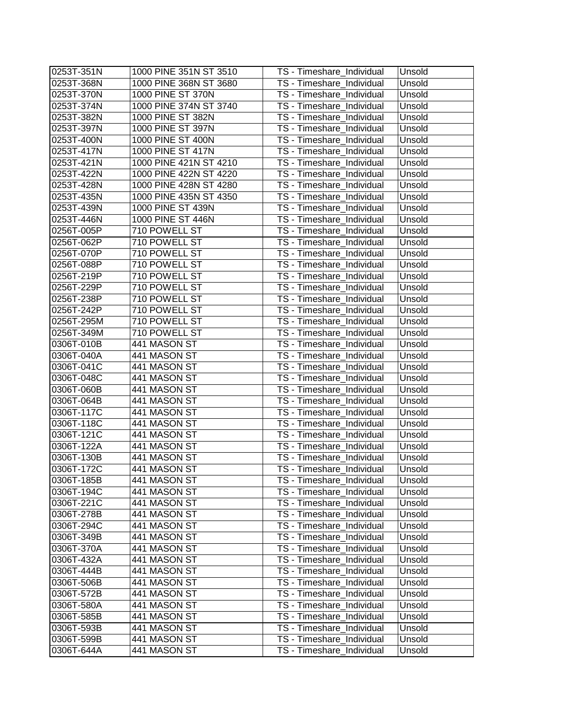| 0253T-351N | 1000 PINE 351N ST 3510 | TS - Timeshare_Individual | Unsold |
|------------|------------------------|---------------------------|--------|
| 0253T-368N | 1000 PINE 368N ST 3680 | TS - Timeshare_Individual | Unsold |
| 0253T-370N | 1000 PINE ST 370N      | TS - Timeshare_Individual | Unsold |
| 0253T-374N | 1000 PINE 374N ST 3740 | TS - Timeshare_Individual | Unsold |
| 0253T-382N | 1000 PINE ST 382N      | TS - Timeshare_Individual | Unsold |
| 0253T-397N | 1000 PINE ST 397N      | TS - Timeshare_Individual | Unsold |
| 0253T-400N | 1000 PINE ST 400N      | TS - Timeshare_Individual | Unsold |
| 0253T-417N | 1000 PINE ST 417N      | TS - Timeshare_Individual | Unsold |
| 0253T-421N | 1000 PINE 421N ST 4210 | TS - Timeshare_Individual | Unsold |
| 0253T-422N | 1000 PINE 422N ST 4220 | TS - Timeshare_Individual | Unsold |
| 0253T-428N | 1000 PINE 428N ST 4280 | TS - Timeshare_Individual | Unsold |
| 0253T-435N | 1000 PINE 435N ST 4350 | TS - Timeshare_Individual | Unsold |
| 0253T-439N | 1000 PINE ST 439N      | TS - Timeshare_Individual | Unsold |
| 0253T-446N | 1000 PINE ST 446N      | TS - Timeshare_Individual | Unsold |
| 0256T-005P | 710 POWELL ST          | TS - Timeshare_Individual | Unsold |
| 0256T-062P | 710 POWELL ST          | TS - Timeshare_Individual | Unsold |
| 0256T-070P | 710 POWELL ST          | TS - Timeshare_Individual | Unsold |
| 0256T-088P | 710 POWELL ST          | TS - Timeshare_Individual | Unsold |
| 0256T-219P | 710 POWELL ST          | TS - Timeshare_Individual | Unsold |
| 0256T-229P | 710 POWELL ST          | TS - Timeshare_Individual | Unsold |
| 0256T-238P | 710 POWELL ST          | TS - Timeshare_Individual | Unsold |
| 0256T-242P | 710 POWELL ST          | TS - Timeshare Individual | Unsold |
| 0256T-295M | 710 POWELL ST          | TS - Timeshare_Individual | Unsold |
| 0256T-349M | 710 POWELL ST          | TS - Timeshare_Individual | Unsold |
| 0306T-010B | 441 MASON ST           | TS - Timeshare_Individual | Unsold |
| 0306T-040A | 441 MASON ST           | TS - Timeshare_Individual | Unsold |
| 0306T-041C | 441 MASON ST           | TS - Timeshare_Individual | Unsold |
| 0306T-048C | 441 MASON ST           | TS - Timeshare_Individual | Unsold |
| 0306T-060B | 441 MASON ST           | TS - Timeshare_Individual | Unsold |
| 0306T-064B | 441 MASON ST           | TS - Timeshare_Individual | Unsold |
| 0306T-117C | 441 MASON ST           | TS - Timeshare_Individual | Unsold |
| 0306T-118C | 441 MASON ST           | TS - Timeshare_Individual | Unsold |
| 0306T-121C | 441 MASON ST           | TS - Timeshare_Individual | Unsold |
| 0306T-122A | 441 MASON ST           | TS - Timeshare_Individual | Unsold |
| 0306T-130B | 441 MASON ST           | TS - Timeshare_Individual | Unsold |
| 0306T-172C | 441 MASON ST           | TS - Timeshare_Individual | Unsold |
| 0306T-185B | 441 MASON ST           | TS - Timeshare_Individual | Unsold |
| 0306T-194C | 441 MASON ST           | TS - Timeshare_Individual | Unsold |
| 0306T-221C | 441 MASON ST           | TS - Timeshare_Individual | Unsold |
| 0306T-278B | 441 MASON ST           | TS - Timeshare_Individual | Unsold |
| 0306T-294C | 441 MASON ST           | TS - Timeshare_Individual | Unsold |
| 0306T-349B | 441 MASON ST           | TS - Timeshare Individual | Unsold |
| 0306T-370A | 441 MASON ST           | TS - Timeshare_Individual | Unsold |
| 0306T-432A | 441 MASON ST           | TS - Timeshare_Individual | Unsold |
| 0306T-444B | 441 MASON ST           | TS - Timeshare_Individual | Unsold |
| 0306T-506B | 441 MASON ST           | TS - Timeshare_Individual | Unsold |
| 0306T-572B | 441 MASON ST           | TS - Timeshare_Individual | Unsold |
| 0306T-580A | 441 MASON ST           | TS - Timeshare Individual | Unsold |
| 0306T-585B | 441 MASON ST           | TS - Timeshare_Individual | Unsold |
| 0306T-593B | 441 MASON ST           | TS - Timeshare_Individual | Unsold |
| 0306T-599B | 441 MASON ST           | TS - Timeshare_Individual | Unsold |
| 0306T-644A | 441 MASON ST           | TS - Timeshare_Individual | Unsold |